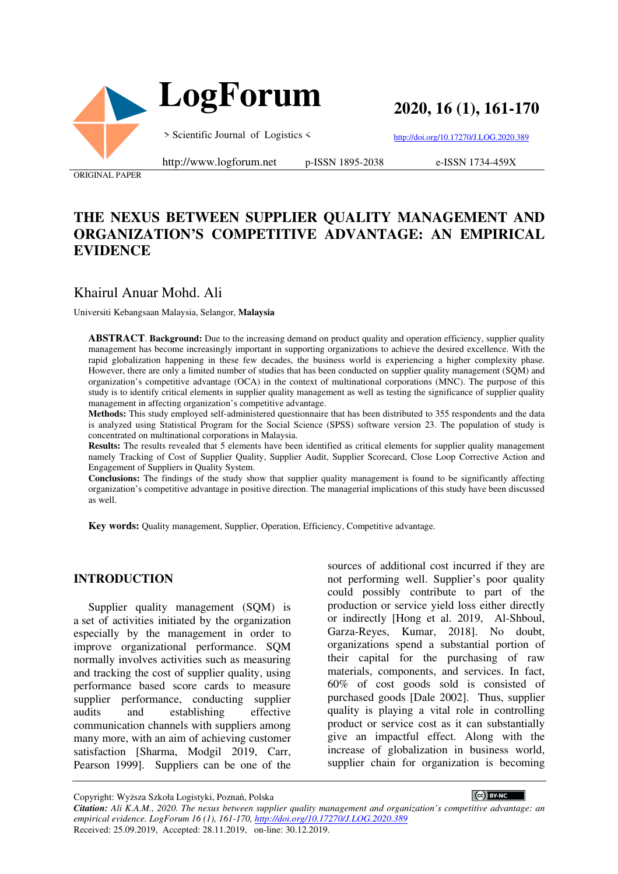



**2020, 16 (1), 161-170**

> Scientific Journal of Logistics <

http://doi.org/10.17270/J.LOG.2020.389

ORIGINAL PAPER

#### http://www.logforum.net p-ISSN 1895-2038

e-ISSN 1734-459X

## **THE NEXUS BETWEEN SUPPLIER QUALITY MANAGEMENT AND ORGANIZATION'S COMPETITIVE ADVANTAGE: AN EMPIRICAL EVIDENCE**

## Khairul Anuar Mohd. Ali

Universiti Kebangsaan Malaysia, Selangor, **Malaysia**

**ABSTRACT**. **Background:** Due to the increasing demand on product quality and operation efficiency, supplier quality management has become increasingly important in supporting organizations to achieve the desired excellence. With the rapid globalization happening in these few decades, the business world is experiencing a higher complexity phase. However, there are only a limited number of studies that has been conducted on supplier quality management (SQM) and organization's competitive advantage (OCA) in the context of multinational corporations (MNC). The purpose of this study is to identify critical elements in supplier quality management as well as testing the significance of supplier quality management in affecting organization's competitive advantage.

**Methods:** This study employed self-administered questionnaire that has been distributed to 355 respondents and the data is analyzed using Statistical Program for the Social Science (SPSS) software version 23. The population of study is concentrated on multinational corporations in Malaysia.

**Results:** The results revealed that 5 elements have been identified as critical elements for supplier quality management namely Tracking of Cost of Supplier Quality, Supplier Audit, Supplier Scorecard, Close Loop Corrective Action and Engagement of Suppliers in Quality System.

**Conclusions:** The findings of the study show that supplier quality management is found to be significantly affecting organization's competitive advantage in positive direction. The managerial implications of this study have been discussed as well.

**Key words:** Quality management, Supplier, Operation, Efficiency, Competitive advantage.

#### **INTRODUCTION**

Supplier quality management (SQM) is a set of activities initiated by the organization especially by the management in order to improve organizational performance. SQM normally involves activities such as measuring and tracking the cost of supplier quality, using performance based score cards to measure supplier performance, conducting supplier audits and establishing effective communication channels with suppliers among many more, with an aim of achieving customer satisfaction [Sharma, Modgil 2019, Carr, Pearson 1999]. Suppliers can be one of the

sources of additional cost incurred if they are not performing well. Supplier's poor quality could possibly contribute to part of the production or service yield loss either directly or indirectly [Hong et al. 2019, Al-Shboul, Garza-Reyes, Kumar, 2018]. No doubt, organizations spend a substantial portion of their capital for the purchasing of raw materials, components, and services. In fact, 60% of cost goods sold is consisted of purchased goods [Dale 2002]. Thus, supplier quality is playing a vital role in controlling product or service cost as it can substantially give an impactful effect. Along with the increase of globalization in business world, supplier chain for organization is becoming

Copyright: Wyższa Szkoła Logistyki, Poznań, Polska

CC BY-NC

*Citation: Ali K.A.M., 2020. The nexus between supplier quality management and organization's competitive advantage: an empirical evidence. LogForum 16 (1), 161-170, http://doi.org/10.17270/J.LOG.2020.389*  Received: 25.09.2019, Accepted: 28.11.2019, on-line: 30.12.2019.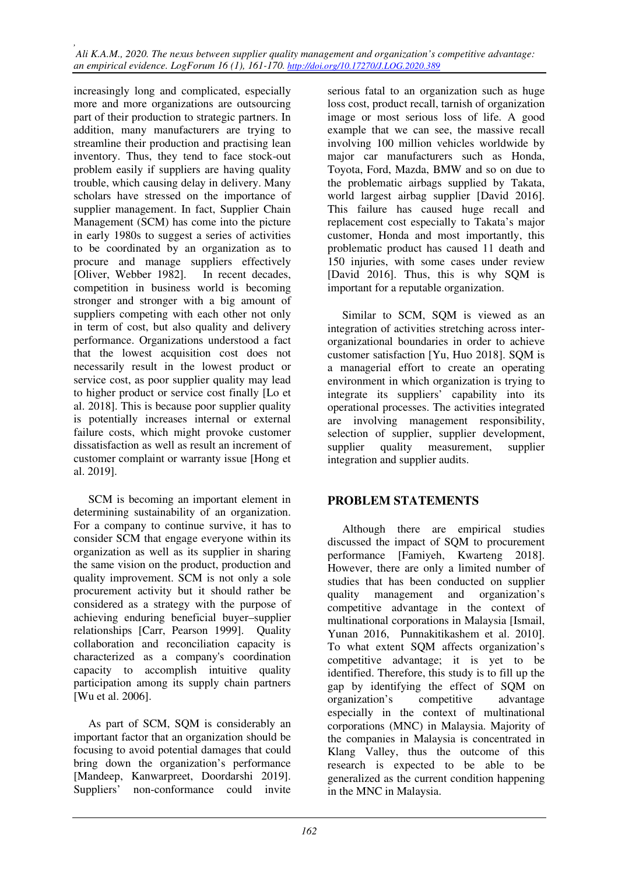increasingly long and complicated, especially more and more organizations are outsourcing part of their production to strategic partners. In addition, many manufacturers are trying to streamline their production and practising lean inventory. Thus, they tend to face stock-out problem easily if suppliers are having quality trouble, which causing delay in delivery. Many scholars have stressed on the importance of supplier management. In fact, Supplier Chain Management (SCM) has come into the picture in early 1980s to suggest a series of activities to be coordinated by an organization as to procure and manage suppliers effectively [Oliver, Webber 1982]. In recent decades, competition in business world is becoming stronger and stronger with a big amount of suppliers competing with each other not only in term of cost, but also quality and delivery performance. Organizations understood a fact that the lowest acquisition cost does not necessarily result in the lowest product or service cost, as poor supplier quality may lead to higher product or service cost finally [Lo et al. 2018]. This is because poor supplier quality is potentially increases internal or external failure costs, which might provoke customer dissatisfaction as well as result an increment of customer complaint or warranty issue [Hong et al. 2019].

SCM is becoming an important element in determining sustainability of an organization. For a company to continue survive, it has to consider SCM that engage everyone within its organization as well as its supplier in sharing the same vision on the product, production and quality improvement. SCM is not only a sole procurement activity but it should rather be considered as a strategy with the purpose of achieving enduring beneficial buyer–supplier relationships [Carr, Pearson 1999]. Quality collaboration and reconciliation capacity is characterized as a company's coordination capacity to accomplish intuitive quality participation among its supply chain partners [Wu et al. 2006].

As part of SCM, SQM is considerably an important factor that an organization should be focusing to avoid potential damages that could bring down the organization's performance [Mandeep, Kanwarpreet, Doordarshi 2019]. Suppliers' non-conformance could invite

serious fatal to an organization such as huge loss cost, product recall, tarnish of organization image or most serious loss of life. A good example that we can see, the massive recall involving 100 million vehicles worldwide by major car manufacturers such as Honda, Toyota, Ford, Mazda, BMW and so on due to the problematic airbags supplied by Takata, world largest airbag supplier [David 2016]. This failure has caused huge recall and replacement cost especially to Takata's major customer, Honda and most importantly, this problematic product has caused 11 death and 150 injuries, with some cases under review [David 2016]. Thus, this is why SQM is important for a reputable organization.

Similar to SCM, SQM is viewed as an integration of activities stretching across interorganizational boundaries in order to achieve customer satisfaction [Yu, Huo 2018]. SQM is a managerial effort to create an operating environment in which organization is trying to integrate its suppliers' capability into its operational processes. The activities integrated are involving management responsibility, selection of supplier, supplier development, supplier quality measurement, supplier integration and supplier audits.

## **PROBLEM STATEMENTS**

Although there are empirical studies discussed the impact of SQM to procurement performance [Famiyeh, Kwarteng 2018]. However, there are only a limited number of studies that has been conducted on supplier quality management and organization's competitive advantage in the context of multinational corporations in Malaysia [Ismail, Yunan 2016, Punnakitikashem et al. 2010]. To what extent SQM affects organization's competitive advantage; it is yet to be identified. Therefore, this study is to fill up the gap by identifying the effect of SQM on organization's competitive advantage especially in the context of multinational corporations (MNC) in Malaysia. Majority of the companies in Malaysia is concentrated in Klang Valley, thus the outcome of this research is expected to be able to be generalized as the current condition happening in the MNC in Malaysia.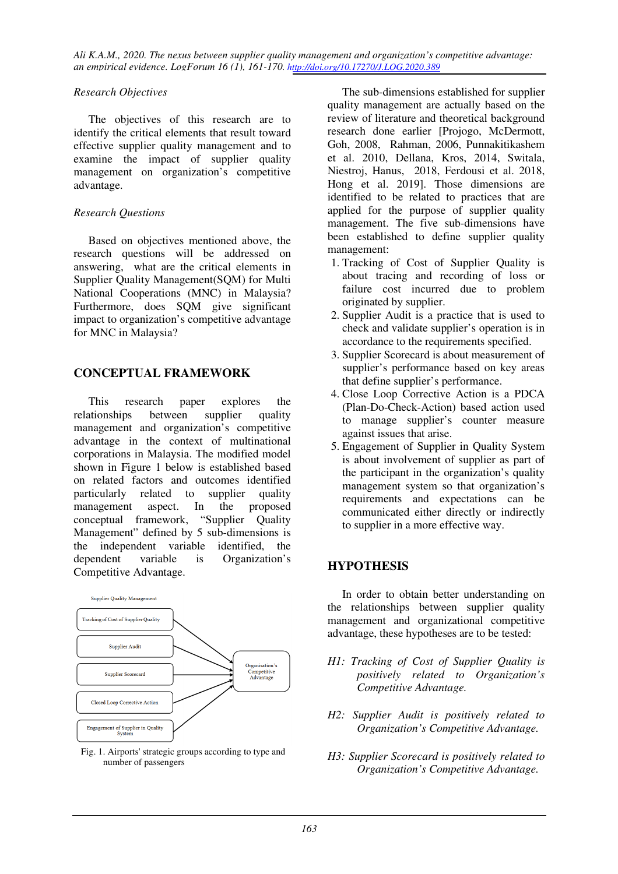*Ali K.A.M., 2020. The nexus between supplier quality management and organization's competitive advantage: an empirical evidence. LogForum 16 (1), 161-170. http://doi.org/10.17270/J.LOG.2020.389* 

#### *Research Objectives*

The objectives of this research are to identify the critical elements that result toward effective supplier quality management and to examine the impact of supplier quality management on organization's competitive advantage.

#### *Research Questions*

Based on objectives mentioned above, the research questions will be addressed on answering, what are the critical elements in Supplier Quality Management(SQM) for Multi National Cooperations (MNC) in Malaysia? Furthermore, does SQM give significant impact to organization's competitive advantage for MNC in Malaysia?

## **CONCEPTUAL FRAMEWORK**

This research paper explores the relationships between supplier quality management and organization's competitive advantage in the context of multinational corporations in Malaysia. The modified model shown in Figure 1 below is established based on related factors and outcomes identified particularly related to supplier quality management aspect. In the proposed conceptual framework, "Supplier Quality Management" defined by 5 sub-dimensions is the independent variable identified, the dependent variable is Organization's Competitive Advantage.



Fig. 1. Airports' strategic groups according to type and number of passengers

The sub-dimensions established for supplier quality management are actually based on the review of literature and theoretical background research done earlier [Projogo, McDermott, Goh, 2008, Rahman, 2006, Punnakitikashem et al. 2010, Dellana, Kros, 2014, Switala, Niestroj, Hanus, 2018, Ferdousi et al. 2018, Hong et al. 2019]. Those dimensions are identified to be related to practices that are applied for the purpose of supplier quality management. The five sub-dimensions have been established to define supplier quality management:

- 1. Tracking of Cost of Supplier Quality is about tracing and recording of loss or failure cost incurred due to problem originated by supplier.
- 2. Supplier Audit is a practice that is used to check and validate supplier's operation is in accordance to the requirements specified.
- 3. Supplier Scorecard is about measurement of supplier's performance based on key areas that define supplier's performance.
- 4. Close Loop Corrective Action is a PDCA (Plan-Do-Check-Action) based action used to manage supplier's counter measure against issues that arise.
- 5. Engagement of Supplier in Quality System is about involvement of supplier as part of the participant in the organization's quality management system so that organization's requirements and expectations can be communicated either directly or indirectly to supplier in a more effective way.

#### **HYPOTHESIS**

In order to obtain better understanding on the relationships between supplier quality management and organizational competitive advantage, these hypotheses are to be tested:

- *H1: Tracking of Cost of Supplier Quality is positively related to Organization's Competitive Advantage.*
- *H2: Supplier Audit is positively related to Organization's Competitive Advantage.*
- *H3: Supplier Scorecard is positively related to Organization's Competitive Advantage.*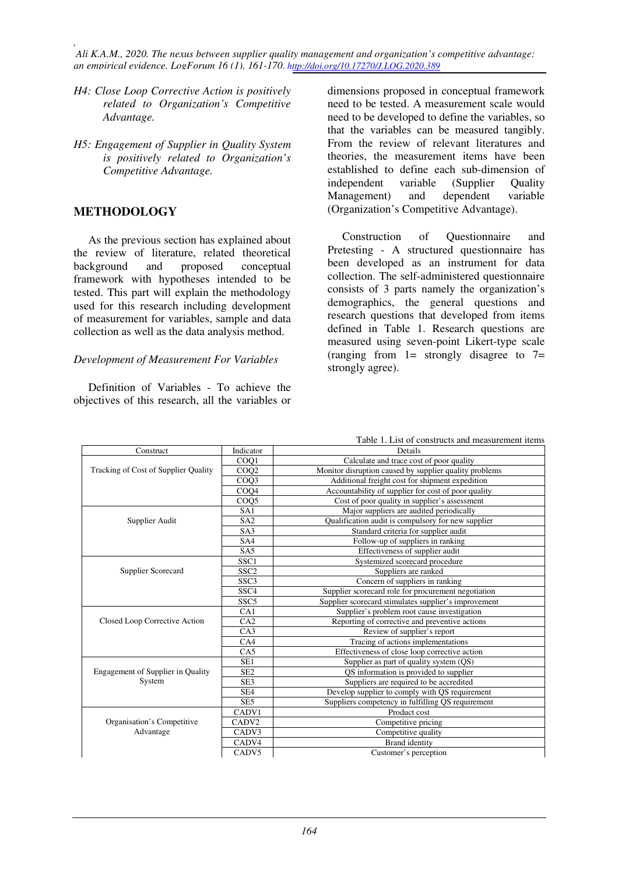*, Ali K.A.M., 2020. The nexus between supplier quality management and organization's competitive advantage: an empirical evidence. LogForum 16 (1), 161-170. http://doi.org/10.17270/J.LOG.2020.389* 

- *H4: Close Loop Corrective Action is positively related to Organization's Competitive Advantage.*
- *H5: Engagement of Supplier in Quality System is positively related to Organization's Competitive Advantage.*

#### **METHODOLOGY**

As the previous section has explained about the review of literature, related theoretical<br>background and proposed concentual background and proposed conceptual framework with hypotheses intended to be tested. This part will explain the methodology used for this research including development of measurement for variables, sample and data collection as well as the data analysis method.

#### *Development of Measurement For Variables*

Definition of Variables - To achieve the objectives of this research, all the variables or dimensions proposed in conceptual framework need to be tested. A measurement scale would need to be developed to define the variables, so that the variables can be measured tangibly. From the review of relevant literatures and theories, the measurement items have been established to define each sub-dimension of independent variable (Supplier Quality Management) and dependent variable (Organization's Competitive Advantage).

Construction of Questionnaire and Pretesting - A structured questionnaire has been developed as an instrument for data collection. The self-administered questionnaire consists of 3 parts namely the organization's demographics, the general questions and research questions that developed from items defined in Table 1. Research questions are measured using seven-point Likert-type scale (ranging from  $1=$  strongly disagree to  $7=$ strongly agree).

|                                                 |                                                       | Table 1. List of constructs and measurement items      |  |  |  |
|-------------------------------------------------|-------------------------------------------------------|--------------------------------------------------------|--|--|--|
| Construct                                       | Indicator                                             | Details                                                |  |  |  |
|                                                 | CO <sub>O1</sub>                                      | Calculate and trace cost of poor quality               |  |  |  |
| Tracking of Cost of Supplier Quality            | CO <sub>O</sub> 2                                     | Monitor disruption caused by supplier quality problems |  |  |  |
|                                                 | COO <sub>3</sub>                                      | Additional freight cost for shipment expedition        |  |  |  |
|                                                 | COQ4                                                  | Accountability of supplier for cost of poor quality    |  |  |  |
|                                                 | COQ <sub>5</sub>                                      | Cost of poor quality in supplier's assessment          |  |  |  |
|                                                 | SA1                                                   | Major suppliers are audited periodically               |  |  |  |
| Supplier Audit                                  | SA <sub>2</sub>                                       | Qualification audit is compulsory for new supplier     |  |  |  |
|                                                 | SA <sub>3</sub>                                       | Standard criteria for supplier audit                   |  |  |  |
|                                                 | SA4                                                   | Follow-up of suppliers in ranking                      |  |  |  |
|                                                 | SA <sub>5</sub>                                       | Effectiveness of supplier audit                        |  |  |  |
|                                                 | SSC <sub>1</sub>                                      | Systemized scorecard procedure                         |  |  |  |
| Supplier Scorecard                              | SSC <sub>2</sub>                                      | Suppliers are ranked                                   |  |  |  |
|                                                 | SSC <sub>3</sub>                                      | Concern of suppliers in ranking                        |  |  |  |
|                                                 | SSC <sub>4</sub>                                      | Supplier scorecard role for procurement negotiation    |  |  |  |
|                                                 | SSC <sub>5</sub>                                      | Supplier scorecard stimulates supplier's improvement   |  |  |  |
|                                                 | CA1                                                   | Supplier's problem root cause investigation            |  |  |  |
| Closed Loop Corrective Action                   | CA2<br>Reporting of corrective and preventive actions |                                                        |  |  |  |
|                                                 | CA3                                                   | Review of supplier's report                            |  |  |  |
|                                                 | CA4                                                   | Tracing of actions implementations                     |  |  |  |
|                                                 | CA5                                                   | Effectiveness of close loop corrective action          |  |  |  |
|                                                 | SE1                                                   | Supplier as part of quality system (QS)                |  |  |  |
| <b>Engagement of Supplier in Quality</b>        | SE <sub>2</sub>                                       | OS information is provided to supplier                 |  |  |  |
| System<br>SE <sub>3</sub>                       |                                                       | Suppliers are required to be accredited                |  |  |  |
|                                                 | SE <sub>4</sub>                                       | Develop supplier to comply with QS requirement         |  |  |  |
|                                                 | SE <sub>5</sub>                                       | Suppliers competency in fulfilling QS requirement      |  |  |  |
|                                                 | CADV1                                                 | Product cost                                           |  |  |  |
| Organisation's Competitive<br>CADV <sub>2</sub> |                                                       | Competitive pricing                                    |  |  |  |
| Advantage                                       | Competitive quality                                   |                                                        |  |  |  |
| CADV4<br><b>Brand</b> identity                  |                                                       |                                                        |  |  |  |
| CADV <sub>5</sub><br>Customer's perception      |                                                       |                                                        |  |  |  |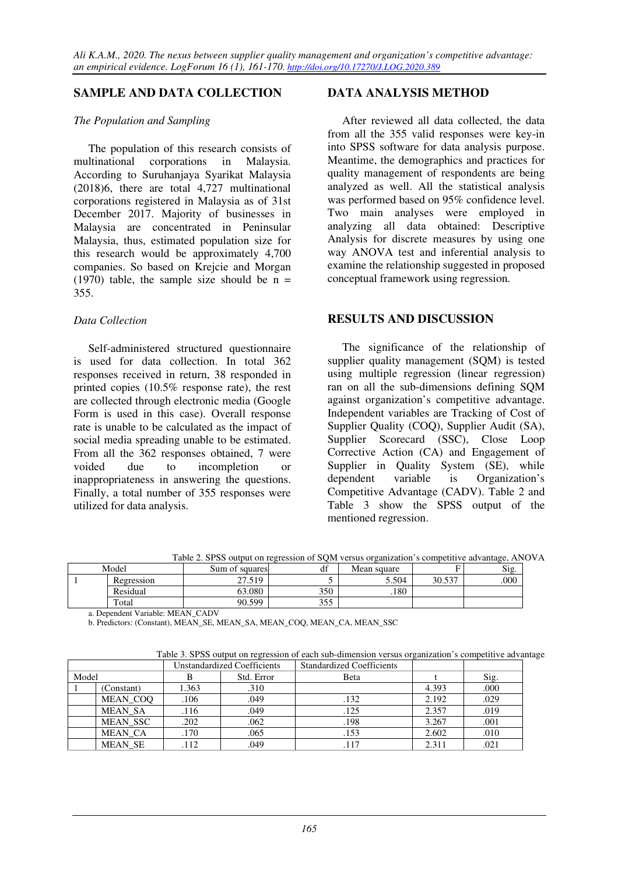### **SAMPLE AND DATA COLLECTION**

#### *The Population and Sampling*

The population of this research consists of multinational corporations in Malaysia. According to Suruhanjaya Syarikat Malaysia (2018)6, there are total 4,727 multinational corporations registered in Malaysia as of 31st December 2017. Majority of businesses in Malaysia are concentrated in Peninsular Malaysia, thus, estimated population size for this research would be approximately 4,700 companies. So based on Krejcie and Morgan (1970) table, the sample size should be  $n =$ 355.

#### *Data Collection*

Self-administered structured questionnaire is used for data collection. In total 362 responses received in return, 38 responded in printed copies (10.5% response rate), the rest are collected through electronic media (Google Form is used in this case). Overall response rate is unable to be calculated as the impact of social media spreading unable to be estimated. From all the 362 responses obtained, 7 were voided due to incompletion or inappropriateness in answering the questions. Finally, a total number of 355 responses were utilized for data analysis.

## **DATA ANALYSIS METHOD**

After reviewed all data collected, the data from all the 355 valid responses were key-in into SPSS software for data analysis purpose. Meantime, the demographics and practices for quality management of respondents are being analyzed as well. All the statistical analysis was performed based on 95% confidence level. Two main analyses were employed in analyzing all data obtained: Descriptive Analysis for discrete measures by using one way ANOVA test and inferential analysis to examine the relationship suggested in proposed conceptual framework using regression.

### **RESULTS AND DISCUSSION**

The significance of the relationship of supplier quality management (SQM) is tested using multiple regression (linear regression) ran on all the sub-dimensions defining SQM against organization's competitive advantage. Independent variables are Tracking of Cost of Supplier Quality (COQ), Supplier Audit (SA), Supplier Scorecard (SSC), Close Loop Corrective Action (CA) and Engagement of Supplier in Quality System (SE), while dependent variable is Organization's Competitive Advantage (CADV). Table 2 and Table 3 show the SPSS output of the mentioned regression.

|  | Table 2. SPSS output on regression of SOM versus organization's competitive advantage, ANOVA |
|--|----------------------------------------------------------------------------------------------|

| Model      | Sum of squares | 10 <sup>o</sup><br>df | Mean square |        | Sig. |
|------------|----------------|-----------------------|-------------|--------|------|
| Regression | 27.519         |                       | 5.504       | 30.537 | .000 |
| Residual   | 63.080         | 350                   | .180        |        |      |
| Total      | 90.599         | 255<br>333            |             |        |      |

a. Dependent Variable: MEAN\_CADV

b. Predictors: (Constant), MEAN\_SE, MEAN\_SA, MEAN\_COQ, MEAN\_CA, MEAN\_SSC

Table 3. SPSS output on regression of each sub-dimension versus organization's competitive advantage

| <b>Unstandardized Coefficients</b> |                 | <b>Standardized Coefficients</b> |            |      |       |      |
|------------------------------------|-----------------|----------------------------------|------------|------|-------|------|
| Model                              |                 |                                  | Std. Error | Beta |       | Sig. |
|                                    | (Constant)      | 1.363                            | .310       |      | 4.393 | .000 |
|                                    | MEAN COO        | .106                             | .049       | .132 | 2.192 | .029 |
|                                    | <b>MEAN SA</b>  | .116                             | .049       | .125 | 2.357 | .019 |
|                                    | <b>MEAN SSC</b> | .202                             | .062       | .198 | 3.267 | .001 |
|                                    | MEAN CA         | .170                             | .065       | .153 | 2.602 | .010 |
|                                    | <b>MEAN SE</b>  | 112                              | .049       | .117 | 2.311 | .021 |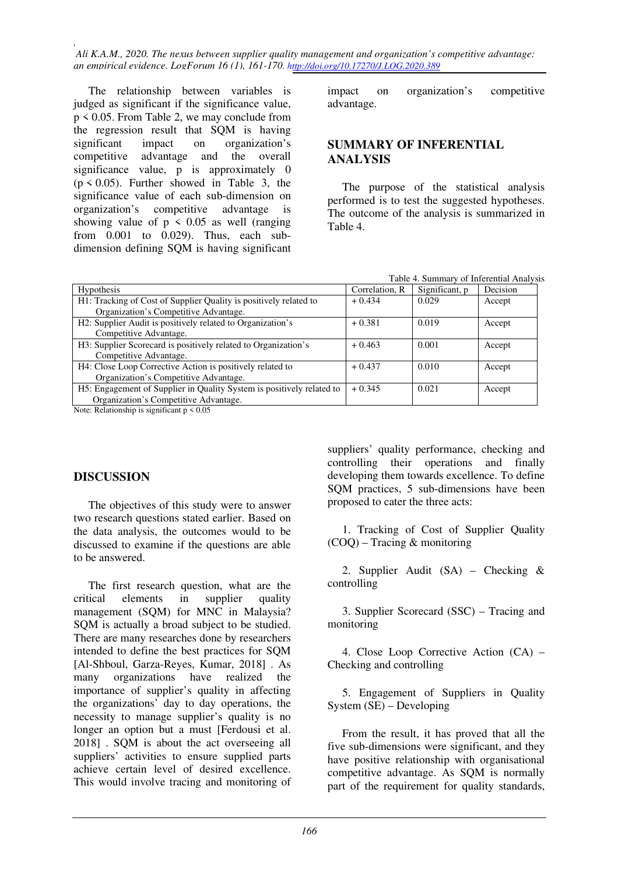*, Ali K.A.M., 2020. The nexus between supplier quality management and organization's competitive advantage: an empirical evidence. LogForum 16 (1), 161-170. http://doi.org/10.17270/J.LOG.2020.389* 

The relationship between variables is judged as significant if the significance value, p < 0.05. From Table 2, we may conclude from the regression result that SQM is having significant impact on organization's competitive advantage and the overall significance value, p is approximately 0  $(p \le 0.05)$ . Further showed in Table 3, the significance value of each sub-dimension on organization's competitive advantage is showing value of  $p \leq 0.05$  as well (ranging from 0.001 to 0.029). Thus, each subdimension defining SQM is having significant impact on organization's competitive advantage.

### **SUMMARY OF INFERENTIAL ANALYSIS**

The purpose of the statistical analysis performed is to test the suggested hypotheses. The outcome of the analysis is summarized in Table 4.

| Table 4. Summary of Inferential Analysis |  |
|------------------------------------------|--|
|------------------------------------------|--|

| <b>Hypothesis</b>                                                     | Correlation, R | Significant, p | Decision |
|-----------------------------------------------------------------------|----------------|----------------|----------|
| H1: Tracking of Cost of Supplier Quality is positively related to     | $+0.434$       | 0.029          | Accept   |
| Organization's Competitive Advantage.                                 |                |                |          |
| H2: Supplier Audit is positively related to Organization's            | $+0.381$       | 0.019          | Accept   |
| Competitive Advantage.                                                |                |                |          |
| H3: Supplier Scorecard is positively related to Organization's        | $+0.463$       | 0.001          | Accept   |
| Competitive Advantage.                                                |                |                |          |
| H4: Close Loop Corrective Action is positively related to             | $+0.437$       | 0.010          | Accept   |
| Organization's Competitive Advantage.                                 |                |                |          |
| H5: Engagement of Supplier in Quality System is positively related to | $+0.345$       | 0.021          | Accept   |
| Organization's Competitive Advantage.                                 |                |                |          |

Note: Relationship is significant p < 0.05

## **DISCUSSION**

The objectives of this study were to answer two research questions stated earlier. Based on the data analysis, the outcomes would to be discussed to examine if the questions are able to be answered.

The first research question, what are the critical elements in supplier quality management (SQM) for MNC in Malaysia? SQM is actually a broad subject to be studied. There are many researches done by researchers intended to define the best practices for SQM [Al-Shboul, Garza-Reyes, Kumar, 2018] . As many organizations have realized the importance of supplier's quality in affecting the organizations' day to day operations, the necessity to manage supplier's quality is no longer an option but a must [Ferdousi et al. 2018] . SQM is about the act overseeing all suppliers' activities to ensure supplied parts achieve certain level of desired excellence. This would involve tracing and monitoring of

suppliers' quality performance, checking and controlling their operations and finally developing them towards excellence. To define SQM practices, 5 sub-dimensions have been proposed to cater the three acts:

1. Tracking of Cost of Supplier Quality (COQ) – Tracing & monitoring

2. Supplier Audit (SA) – Checking & controlling

3. Supplier Scorecard (SSC) – Tracing and monitoring

4. Close Loop Corrective Action (CA) – Checking and controlling

5. Engagement of Suppliers in Quality System (SE) – Developing

From the result, it has proved that all the five sub-dimensions were significant, and they have positive relationship with organisational competitive advantage. As SQM is normally part of the requirement for quality standards,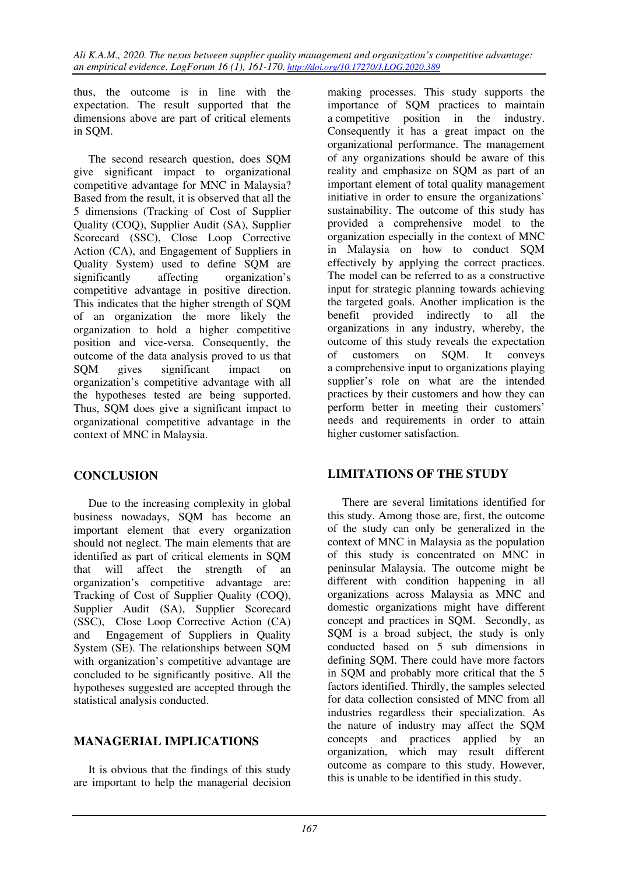*Ali K.A.M., 2020. The nexus between supplier quality management and organization's competitive advantage: an empirical evidence. LogForum 16 (1), 161-170. http://doi.org/10.17270/J.LOG.2020.389* 

thus, the outcome is in line with the expectation. The result supported that the dimensions above are part of critical elements in SQM.

The second research question, does SQM give significant impact to organizational competitive advantage for MNC in Malaysia? Based from the result, it is observed that all the 5 dimensions (Tracking of Cost of Supplier Quality (COQ), Supplier Audit (SA), Supplier Scorecard (SSC), Close Loop Corrective Action (CA), and Engagement of Suppliers in Quality System) used to define SQM are significantly affecting organization's competitive advantage in positive direction. This indicates that the higher strength of SQM of an organization the more likely the organization to hold a higher competitive position and vice-versa. Consequently, the outcome of the data analysis proved to us that SQM gives significant impact on organization's competitive advantage with all the hypotheses tested are being supported. Thus, SQM does give a significant impact to organizational competitive advantage in the context of MNC in Malaysia.

## **CONCLUSION**

Due to the increasing complexity in global business nowadays, SQM has become an important element that every organization should not neglect. The main elements that are identified as part of critical elements in SQM that will affect the strength of an organization's competitive advantage are: Tracking of Cost of Supplier Quality (COQ), Supplier Audit (SA), Supplier Scorecard (SSC), Close Loop Corrective Action (CA) and Engagement of Suppliers in Quality System (SE). The relationships between SQM with organization's competitive advantage are concluded to be significantly positive. All the hypotheses suggested are accepted through the statistical analysis conducted.

## **MANAGERIAL IMPLICATIONS**

It is obvious that the findings of this study are important to help the managerial decision

making processes. This study supports the importance of SQM practices to maintain a competitive position in the industry. Consequently it has a great impact on the organizational performance. The management of any organizations should be aware of this reality and emphasize on SQM as part of an important element of total quality management initiative in order to ensure the organizations' sustainability. The outcome of this study has provided a comprehensive model to the organization especially in the context of MNC in Malaysia on how to conduct SQM effectively by applying the correct practices. The model can be referred to as a constructive input for strategic planning towards achieving the targeted goals. Another implication is the benefit provided indirectly to all the organizations in any industry, whereby, the outcome of this study reveals the expectation of customers on SQM. It conveys a comprehensive input to organizations playing supplier's role on what are the intended practices by their customers and how they can perform better in meeting their customers' needs and requirements in order to attain higher customer satisfaction.

## **LIMITATIONS OF THE STUDY**

There are several limitations identified for this study. Among those are, first, the outcome of the study can only be generalized in the context of MNC in Malaysia as the population of this study is concentrated on MNC in peninsular Malaysia. The outcome might be different with condition happening in all organizations across Malaysia as MNC and domestic organizations might have different concept and practices in SQM. Secondly, as SQM is a broad subject, the study is only conducted based on 5 sub dimensions in defining SQM. There could have more factors in SQM and probably more critical that the 5 factors identified. Thirdly, the samples selected for data collection consisted of MNC from all industries regardless their specialization. As the nature of industry may affect the SQM concepts and practices applied by an organization, which may result different outcome as compare to this study. However, this is unable to be identified in this study.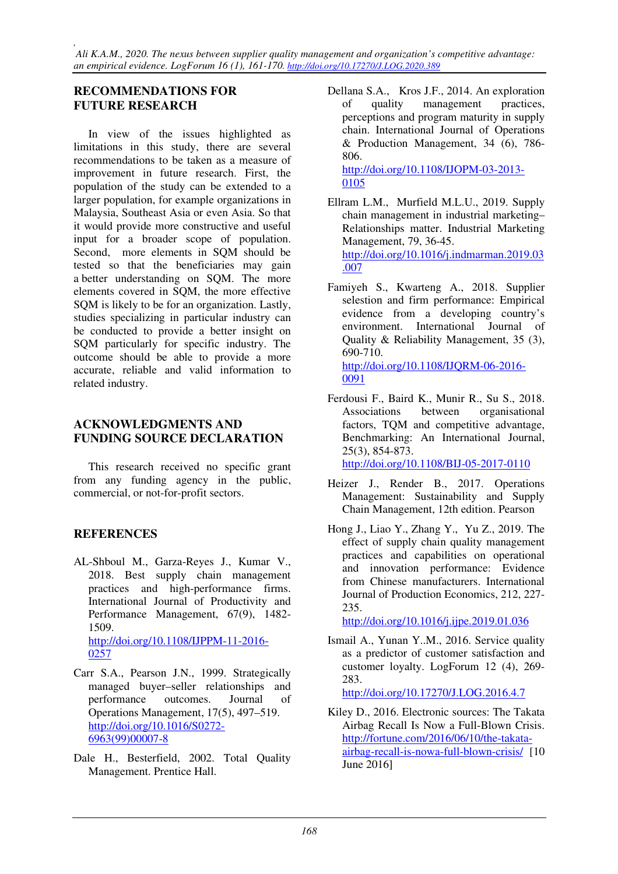## **RECOMMENDATIONS FOR FUTURE RESEARCH**

In view of the issues highlighted as limitations in this study, there are several recommendations to be taken as a measure of improvement in future research. First, the population of the study can be extended to a larger population, for example organizations in Malaysia, Southeast Asia or even Asia. So that it would provide more constructive and useful input for a broader scope of population. Second, more elements in SQM should be tested so that the beneficiaries may gain a better understanding on SQM. The more elements covered in SQM, the more effective SOM is likely to be for an organization. Lastly, studies specializing in particular industry can be conducted to provide a better insight on SQM particularly for specific industry. The outcome should be able to provide a more accurate, reliable and valid information to related industry.

## **ACKNOWLEDGMENTS AND FUNDING SOURCE DECLARATION**

This research received no specific grant from any funding agency in the public, commercial, or not-for-profit sectors.

## **REFERENCES**

- AL-Shboul M., Garza-Reyes J., Kumar V., 2018. Best supply chain management practices and high-performance firms. International Journal of Productivity and Performance Management, 67(9), 1482- 1509. http://doi.org/10.1108/IJPPM-11-2016- 0257
- Carr S.A., Pearson J.N., 1999. Strategically managed buyer–seller relationships and performance outcomes. Journal of Operations Management, 17(5), 497–519. http://doi.org/10.1016/S0272- 6963(99)00007-8
- Dale H., Besterfield, 2002. Total Quality Management. Prentice Hall.

Dellana S.A., Kros J.F., 2014. An exploration of quality management practices, perceptions and program maturity in supply chain. International Journal of Operations & Production Management, 34 (6), 786- 806.

http://doi.org/10.1108/IJOPM-03-2013- 0105

- Ellram L.M., Murfield M.L.U., 2019. Supply chain management in industrial marketing– Relationships matter. Industrial Marketing Management, 79, 36-45. http://doi.org/10.1016/j.indmarman.2019.03 .007
- Famiyeh S., Kwarteng A., 2018. Supplier selestion and firm performance: Empirical evidence from a developing country's environment. International Journal of Quality & Reliability Management, 35 (3), 690-710. http://doi.org/10.1108/IJQRM-06-2016- 0091
- Ferdousi F., Baird K., Munir R., Su S., 2018. Associations between organisational factors, TQM and competitive advantage, Benchmarking: An International Journal, 25(3), 854-873. http://doi.org/10.1108/BIJ-05-2017-0110
- Heizer J., Render B., 2017. Operations Management: Sustainability and Supply Chain Management, 12th edition. Pearson
- Hong J., Liao Y., Zhang Y., Yu Z., 2019. The effect of supply chain quality management practices and capabilities on operational and innovation performance: Evidence from Chinese manufacturers. International Journal of Production Economics, 212, 227- 235.

http://doi.org/10.1016/j.ijpe.2019.01.036

Ismail A., Yunan Y..M., 2016. Service quality as a predictor of customer satisfaction and customer loyalty. LogForum 12 (4), 269- 283.

http://doi.org/10.17270/J.LOG.2016.4.7

Kiley D., 2016. Electronic sources: The Takata Airbag Recall Is Now a Full-Blown Crisis. http://fortune.com/2016/06/10/the-takataairbag-recall-is-nowa-full-blown-crisis/ [10 June 2016]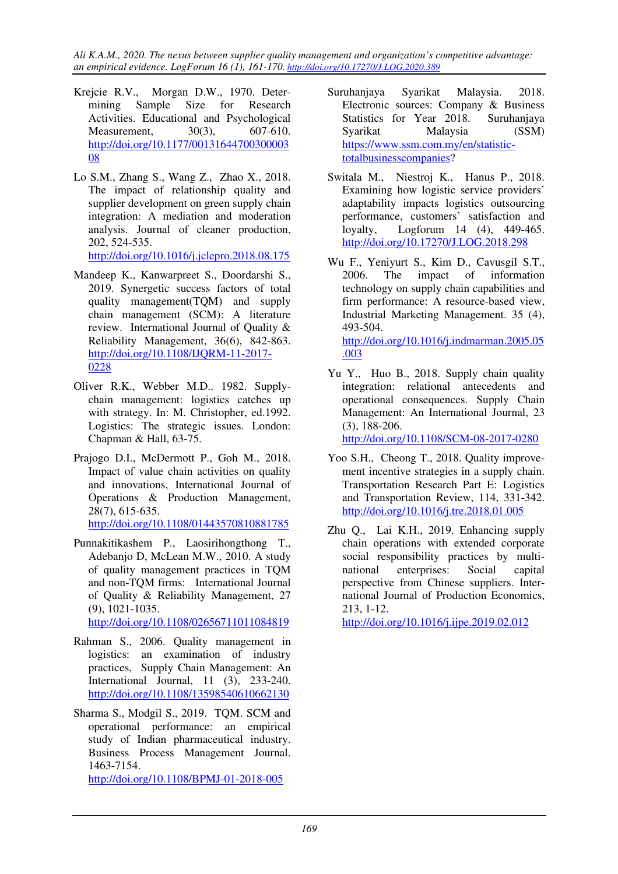*Ali K.A.M., 2020. The nexus between supplier quality management and organization's competitive advantage: an empirical evidence. LogForum 16 (1), 161-170. http://doi.org/10.17270/J.LOG.2020.389* 

- Krejcie R.V., Morgan D.W., 1970. Determining Sample Size for Research Activities. Educational and Psychological Measurement, 30(3), 607-610. http://doi.org/10.1177/00131644700300003 08
- Lo S.M., Zhang S., Wang Z., Zhao X., 2018. The impact of relationship quality and supplier development on green supply chain integration: A mediation and moderation analysis. Journal of cleaner production, 202, 524-535. http://doi.org/10.1016/j.jclepro.2018.08.175
- Mandeep K., Kanwarpreet S., Doordarshi S., 2019. Synergetic success factors of total quality management(TQM) and supply chain management (SCM): A literature review. International Journal of Quality & Reliability Management, 36(6), 842-863. http://doi.org/10.1108/IJQRM-11-2017- 0228
- Oliver R.K., Webber M.D.. 1982. Supplychain management: logistics catches up with strategy. In: M. Christopher, ed.1992. Logistics: The strategic issues. London: Chapman & Hall, 63-75.
- Prajogo D.I., McDermott P., Goh M., 2018. Impact of value chain activities on quality and innovations, International Journal of Operations & Production Management, 28(7), 615-635. http://doi.org/10.1108/01443570810881785
- Punnakitikashem P., Laosirihongthong T., Adebanjo D, McLean M.W., 2010. A study of quality management practices in TQM and non-TQM firms: International Journal of Quality & Reliability Management, 27 (9), 1021-1035.

http://doi.org/10.1108/02656711011084819

- Rahman S., 2006. Quality management in logistics: an examination of industry practices, Supply Chain Management: An International Journal, 11 (3), 233-240. http://doi.org/10.1108/13598540610662130
- Sharma S., Modgil S., 2019. TQM. SCM and operational performance: an empirical study of Indian pharmaceutical industry. Business Process Management Journal. 1463-7154. http://doi.org/10.1108/BPMJ-01-2018-005
- Suruhanjaya Syarikat Malaysia. 2018. Electronic sources: Company & Business Statistics for Year 2018. Suruhanjaya Syarikat Malaysia (SSM) https://www.ssm.com.my/en/statistictotalbusinesscompanies?
- Switala M., Niestroj K., Hanus P., 2018. Examining how logistic service providers' adaptability impacts logistics outsourcing performance, customers' satisfaction and loyalty, Logforum 14 (4), 449-465. http://doi.org/10.17270/J.LOG.2018.298
- Wu F., Yeniyurt S., Kim D., Cavusgil S.T., 2006. The impact of information technology on supply chain capabilities and firm performance: A resource-based view, Industrial Marketing Management. 35 (4), 493-504. http://doi.org/10.1016/j.indmarman.2005.05 .003
- Yu Y., Huo B., 2018. Supply chain quality integration: relational antecedents and operational consequences. Supply Chain Management: An International Journal, 23 (3), 188-206. http://doi.org/10.1108/SCM-08-2017-0280
- Yoo S.H., Cheong T., 2018. Quality improvement incentive strategies in a supply chain. Transportation Research Part E: Logistics and Transportation Review, 114, 331-342. http://doi.org/10.1016/j.tre.2018.01.005
- Zhu Q., Lai K.H., 2019. Enhancing supply chain operations with extended corporate social responsibility practices by multinational enterprises: Social capital perspective from Chinese suppliers. International Journal of Production Economics, 213, 1-12.

http://doi.org/10.1016/j.ijpe.2019.02.012